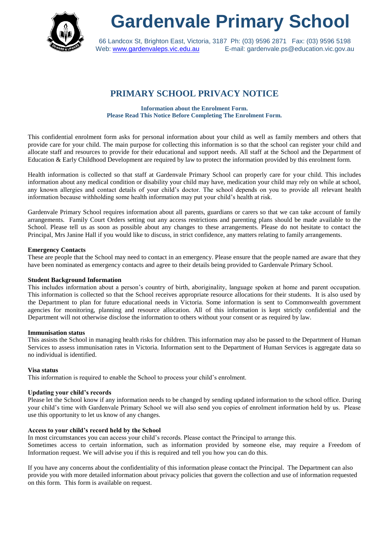

# **Gardenvale Primary School**

66 Landcox St, Brighton East, Victoria, 3187 Ph: (03) 9596 2871 Fax: (03) 9596 5198 Web: [www.gardenvaleps.vic.edu.au](http://www.gardenvaleps.vic.edu.au/) E-mail: gardenvale.ps@education.vic.gov.au

## **PRIMARY SCHOOL PRIVACY NOTICE**

**Information about the Enrolment Form. Please Read This Notice Before Completing The Enrolment Form.**

This confidential enrolment form asks for personal information about your child as well as family members and others that provide care for your child. The main purpose for collecting this information is so that the school can register your child and allocate staff and resources to provide for their educational and support needs. All staff at the School and the Department of Education & Early Childhood Development are required by law to protect the information provided by this enrolment form.

Health information is collected so that staff at Gardenvale Primary School can properly care for your child. This includes information about any medical condition or disability your child may have, medication your child may rely on while at school, any known allergies and contact details of your child's doctor. The school depends on you to provide all relevant health information because withholding some health information may put your child's health at risk.

Gardenvale Primary School requires information about all parents, guardians or carers so that we can take account of family arrangements. Family Court Orders setting out any access restrictions and parenting plans should be made available to the School. Please tell us as soon as possible about any changes to these arrangements. Please do not hesitate to contact the Principal, Mrs Janine Hall if you would like to discuss, in strict confidence, any matters relating to family arrangements.

#### **Emergency Contacts**

These are people that the School may need to contact in an emergency. Please ensure that the people named are aware that they have been nominated as emergency contacts and agree to their details being provided to Gardenvale Primary School.

#### **Student Background Information**

This includes information about a person's country of birth, aboriginality, language spoken at home and parent occupation. This information is collected so that the School receives appropriate resource allocations for their students. It is also used by the Department to plan for future educational needs in Victoria. Some information is sent to Commonwealth government agencies for monitoring, planning and resource allocation. All of this information is kept strictly confidential and the Department will not otherwise disclose the information to others without your consent or as required by law.

#### **Immunisation status**

This assists the School in managing health risks for children. This information may also be passed to the Department of Human Services to assess immunisation rates in Victoria. Information sent to the Department of Human Services is aggregate data so no individual is identified.

#### **Visa status**

This information is required to enable the School to process your child's enrolment.

#### **Updating your child's records**

Please let the School know if any information needs to be changed by sending updated information to the school office. During your child's time with Gardenvale Primary School we will also send you copies of enrolment information held by us. Please use this opportunity to let us know of any changes.

#### **Access to your child's record held by the School**

In most circumstances you can access your child's records. Please contact the Principal to arrange this.

Sometimes access to certain information, such as information provided by someone else, may require a Freedom of Information request. We will advise you if this is required and tell you how you can do this.

If you have any concerns about the confidentiality of this information please contact the Principal. The Department can also provide you with more detailed information about privacy policies that govern the collection and use of information requested on this form. This form is available on request.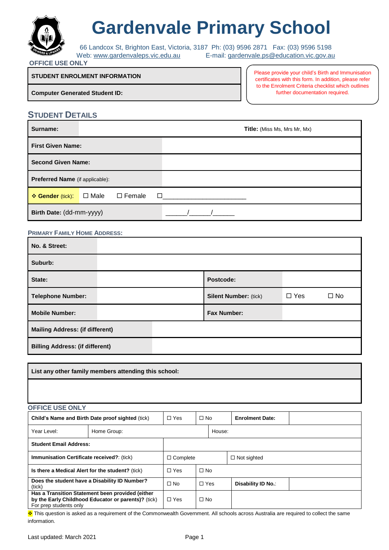

# **Gardenvale Primary School**

66 Landcox St, Brighton East, Victoria, 3187 Ph: (03) 9596 2871 Fax: (03) 9596 5198 Web: [www.gardenvaleps.vic.edu.au](http://www.gardenvaleps.vic.edu.au/) E-mail: [gardenvale.ps@education.vic.gov.au](mailto:gardenvale.ps@education.vic.gov.au)

#### **OFFICE USE ONLY**

#### **STUDENT ENROLMENT INFORMATION**

**Computer Generated Student ID:** 

Please provide your child's Birth and Immunisation certificates with this form. In addition, please refer to the Enrolment Criteria checklist which outlines further documentation required.

#### **STUDENT DETAILS**

| Surname:                               |             |               |   | <b>Title:</b> (Miss Ms, Mrs Mr, Mx) |
|----------------------------------------|-------------|---------------|---|-------------------------------------|
| <b>First Given Name:</b>               |             |               |   |                                     |
| <b>Second Given Name:</b>              |             |               |   |                                     |
| <b>Preferred Name</b> (if applicable): |             |               |   |                                     |
| ❖ Gender (tick):                       | $\Box$ Male | $\Box$ Female | П |                                     |
| Birth Date: (dd-mm-yyyy)               |             |               |   |                                     |

#### **PRIMARY FAMILY HOME ADDRESS:**

| No. & Street:                          |                              |            |              |  |  |
|----------------------------------------|------------------------------|------------|--------------|--|--|
| Suburb:                                |                              |            |              |  |  |
| State:                                 | Postcode:                    |            |              |  |  |
| <b>Telephone Number:</b>               | <b>Silent Number: (tick)</b> | $\Box$ Yes | $\square$ No |  |  |
| <b>Mobile Number:</b>                  | <b>Fax Number:</b>           |            |              |  |  |
| <b>Mailing Address: (if different)</b> |                              |            |              |  |  |
| <b>Billing Address: (if different)</b> |                              |            |              |  |  |

| List any other family members attending this school:                                                                              |             |                 |            |                        |                    |  |  |
|-----------------------------------------------------------------------------------------------------------------------------------|-------------|-----------------|------------|------------------------|--------------------|--|--|
|                                                                                                                                   |             |                 |            |                        |                    |  |  |
| <b>OFFICE USE ONLY</b>                                                                                                            |             |                 |            |                        |                    |  |  |
| Child's Name and Birth Date proof sighted (tick)                                                                                  | $\Box$ Yes  | $\Box$ No       |            | <b>Enrolment Date:</b> |                    |  |  |
| Year Level:                                                                                                                       | Home Group: |                 |            | House:                 |                    |  |  |
| <b>Student Email Address:</b>                                                                                                     |             |                 |            |                        |                    |  |  |
| Immunisation Certificate received?: (tick)                                                                                        |             | $\Box$ Complete |            |                        | $\Box$ Not sighted |  |  |
| Is there a Medical Alert for the student? (tick)                                                                                  |             | $\Box$ Yes      | $\Box$ No  |                        |                    |  |  |
| Does the student have a Disability ID Number?<br>(tick)                                                                           |             | $\Box$ No       | $\Box$ Yes |                        | Disability ID No.: |  |  |
| Has a Transition Statement been provided (either<br>by the Early Childhood Educator or parents)? (tick)<br>For prep students only | $\Box$ Yes  | $\Box$ No       |            |                        |                    |  |  |

\* This question is asked as a requirement of the Commonwealth Government. All schools across Australia are required to collect the same information.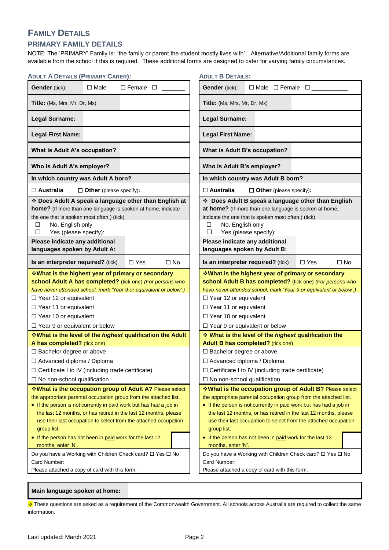## **FAMILY DETAILS**

#### **PRIMARY FAMILY DETAILS**

NOTE: The 'PRIMARY' Family is: "the family or parent the student mostly lives with". Alternative/Additional family forms are available from the school if this is required. These additional forms are designed to cater for varying family circumstances.

| <b>ADULT A DETAILS (PRIMARY CARER):</b>                                                                                                                                                                                                                                                                                       | <b>ADULT B DETAILS:</b>                                                                                                                                                                                                                                                                                                       |
|-------------------------------------------------------------------------------------------------------------------------------------------------------------------------------------------------------------------------------------------------------------------------------------------------------------------------------|-------------------------------------------------------------------------------------------------------------------------------------------------------------------------------------------------------------------------------------------------------------------------------------------------------------------------------|
| <b>Gender</b> (tick):<br>$\Box$ Male<br>$\Box$ Female $\Box$                                                                                                                                                                                                                                                                  | Gender (tick):<br>$\Box$ Male $\Box$ Female $\Box$ ______                                                                                                                                                                                                                                                                     |
| Title: (Ms, Mrs, Mr, Dr, Mx)                                                                                                                                                                                                                                                                                                  | Title: (Ms, Mrs, Mr, Dr, Mx)                                                                                                                                                                                                                                                                                                  |
| <b>Legal Surname:</b>                                                                                                                                                                                                                                                                                                         | <b>Legal Surname:</b>                                                                                                                                                                                                                                                                                                         |
| <b>Legal First Name:</b>                                                                                                                                                                                                                                                                                                      | <b>Legal First Name:</b>                                                                                                                                                                                                                                                                                                      |
| What is Adult A's occupation?                                                                                                                                                                                                                                                                                                 | What is Adult B's occupation?                                                                                                                                                                                                                                                                                                 |
| Who is Adult A's employer?                                                                                                                                                                                                                                                                                                    | Who is Adult B's employer?                                                                                                                                                                                                                                                                                                    |
| In which country was Adult A born?                                                                                                                                                                                                                                                                                            | In which country was Adult B born?                                                                                                                                                                                                                                                                                            |
| $\Box$ Australia<br>$\Box$ Other (please specify):                                                                                                                                                                                                                                                                            | $\Box$ Australia<br>$\Box$ Other (please specify):                                                                                                                                                                                                                                                                            |
| * Does Adult A speak a language other than English at<br>home? (If more than one language is spoken at home, indicate<br>the one that is spoken most often.) (tick)<br>No, English only<br>$\Box$                                                                                                                             | Does Adult B speak a language other than English<br>at home? (If more than one language is spoken at home,<br>indicate the one that is spoken most often.) (tick)<br>No, English only<br>◻                                                                                                                                    |
| □<br>Yes (please specify):                                                                                                                                                                                                                                                                                                    | Yes (please specify):<br>□                                                                                                                                                                                                                                                                                                    |
| Please indicate any additional                                                                                                                                                                                                                                                                                                | Please indicate any additional                                                                                                                                                                                                                                                                                                |
| languages spoken by Adult A:                                                                                                                                                                                                                                                                                                  | languages spoken by Adult B:                                                                                                                                                                                                                                                                                                  |
| Is an interpreter required? (tick)<br>$\Box$ Yes<br>$\square$ No                                                                                                                                                                                                                                                              | Is an interpreter required? (tick)<br>$\Box$ Yes<br>$\square$ No                                                                                                                                                                                                                                                              |
| <b>What is the highest year of primary or secondary</b><br>school Adult A has completed? (tick one) (For persons who<br>have never attended school, mark 'Year 9 or equivalent or below'.)<br>$\Box$ Year 12 or equivalent<br>□ Year 11 or equivalent<br>$\Box$ Year 10 or equivalent<br>$\Box$ Year 9 or equivalent or below | <b>What is the highest year of primary or secondary</b><br>school Adult B has completed? (tick one) (For persons who<br>have never attended school, mark 'Year 9 or equivalent or below'.)<br>$\Box$ Year 12 or equivalent<br>□ Year 11 or equivalent<br>$\Box$ Year 10 or equivalent<br>$\Box$ Year 9 or equivalent or below |
| <b>What is the level of the highest qualification the Adult</b>                                                                                                                                                                                                                                                               | What is the level of the highest qualification the                                                                                                                                                                                                                                                                            |
| A has completed? (tick one)                                                                                                                                                                                                                                                                                                   | <b>Adult B has completed?</b> (tick one)                                                                                                                                                                                                                                                                                      |
| □ Bachelor degree or above                                                                                                                                                                                                                                                                                                    | □ Bachelor degree or above                                                                                                                                                                                                                                                                                                    |
| □ Advanced diploma / Diploma                                                                                                                                                                                                                                                                                                  | □ Advanced diploma / Diploma                                                                                                                                                                                                                                                                                                  |
| $\Box$ Certificate I to IV (including trade certificate)                                                                                                                                                                                                                                                                      | $\Box$ Certificate I to IV (including trade certificate)                                                                                                                                                                                                                                                                      |
| $\Box$ No non-school qualification                                                                                                                                                                                                                                                                                            | $\Box$ No non-school qualification                                                                                                                                                                                                                                                                                            |
| *What is the occupation group of Adult A? Please select                                                                                                                                                                                                                                                                       | ❖ What is the occupation group of Adult B? Please select                                                                                                                                                                                                                                                                      |
| the appropriate parental occupation group from the attached list.<br>• If the person is not currently in paid work but has had a job in<br>the last 12 months, or has retired in the last 12 months, please<br>use their last occupation to select from the attached occupation<br>group list.                                | the appropriate parental occupation group from the attached list.<br>• If the person is not currently in paid work but has had a job in<br>the last 12 months, or has retired in the last 12 months, please<br>use their last occupation to select from the attached occupation<br>group list.                                |
| • If the person has not been in paid work for the last 12<br>months, enter 'N'.                                                                                                                                                                                                                                               | • If the person has not been in paid work for the last 12<br>months, enter 'N'.                                                                                                                                                                                                                                               |
| Do you have a Working with Children Check card? □ Yes □ No<br>Card Number:<br>Please attached a copy of card with this form.                                                                                                                                                                                                  | Do you have a Working with Children Check card? □ Yes □ No<br>Card Number:<br>Please attached a copy of card with this form.                                                                                                                                                                                                  |

#### **Main language spoken at home:**

\* These questions are asked as a requirement of the Commonwealth Government. All schools across Australia are required to collect the same information.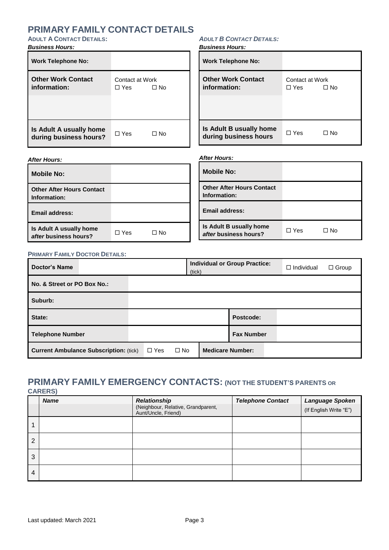## **PRIMARY FAMILY CONTACT DETAILS**

#### **ADULT A CONTACT DETAILS:**

#### *Business Hours:*

### *ADULT B CONTACT DETAILS:*

*Business Hours:*

| <b>Work Telephone No:</b>                         |                               |           | <b>Work Telephone No:</b>                        |                               |              |
|---------------------------------------------------|-------------------------------|-----------|--------------------------------------------------|-------------------------------|--------------|
| <b>Other Work Contact</b><br>information:         | Contact at Work<br>$\Box$ Yes | $\Box$ No | <b>Other Work Contact</b><br>information:        | Contact at Work<br>$\Box$ Yes | $\square$ No |
| Is Adult A usually home<br>during business hours? | $\Box$ Yes                    | $\Box$ No | Is Adult B usually home<br>during business hours | $\Box$ Yes                    | $\Box$ No    |

#### *After Hours:*

| <b>After Hours:</b>                              |            |           |                                                  | <b>After Hours:</b>                              |            |           |  |
|--------------------------------------------------|------------|-----------|--------------------------------------------------|--------------------------------------------------|------------|-----------|--|
| <b>Mobile No:</b>                                |            |           |                                                  | <b>Mobile No:</b>                                |            |           |  |
| <b>Other After Hours Contact</b><br>Information: |            |           | <b>Other After Hours Contact</b><br>Information: |                                                  |            |           |  |
| <b>Email address:</b>                            |            |           |                                                  | Email address:                                   |            |           |  |
| Is Adult A usually home<br>after business hours? | $\Box$ Yes | $\Box$ No |                                                  | Is Adult B usually home<br>after business hours? | $\Box$ Yes | $\Box$ No |  |

#### **PRIMARY FAMILY DOCTOR DETAILS:**

| <b>Doctor's Name</b>                          | (tick)                  | <b>Individual or Group Practice:</b> | $\Box$ Individual<br>$\Box$ Group |
|-----------------------------------------------|-------------------------|--------------------------------------|-----------------------------------|
| No. & Street or PO Box No.:                   |                         |                                      |                                   |
| Suburb:                                       |                         |                                      |                                   |
| State:                                        |                         | Postcode:                            |                                   |
| <b>Telephone Number</b>                       |                         | <b>Fax Number</b>                    |                                   |
| <b>Current Ambulance Subscription: (tick)</b> | $\Box$ No<br>$\Box$ Yes | <b>Medicare Number:</b>              |                                   |

### **PRIMARY FAMILY EMERGENCY CONTACTS: (NOT THE STUDENT'S PARENTS OR CARERS)**

|   | <b>Name</b> | <b>Relationship</b>                                       | <b>Telephone Contact</b> | Language Spoken        |
|---|-------------|-----------------------------------------------------------|--------------------------|------------------------|
|   |             | (Neighbour, Relative, Grandparent,<br>Aunt/Uncle, Friend) |                          | (If English Write "E") |
|   |             |                                                           |                          |                        |
| 2 |             |                                                           |                          |                        |
| 3 |             |                                                           |                          |                        |
| 4 |             |                                                           |                          |                        |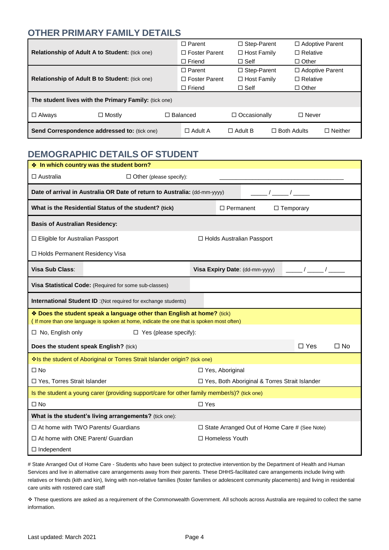## **OTHER PRIMARY FAMILY DETAILS**

|                                                       |                                                       | $\Box$ Parent        | $\Box$ Step-Parent  |                    | $\Box$ Adoptive Parent |                |
|-------------------------------------------------------|-------------------------------------------------------|----------------------|---------------------|--------------------|------------------------|----------------|
| <b>Relationship of Adult A to Student: (tick one)</b> |                                                       | $\Box$ Foster Parent | $\Box$ Host Family  |                    | $\Box$ Relative        |                |
|                                                       |                                                       | $\Box$ Friend        | $\Box$ Self         |                    | $\Box$ Other           |                |
|                                                       |                                                       | $\Box$ Parent        | $\Box$ Step-Parent  |                    | $\Box$ Adoptive Parent |                |
| <b>Relationship of Adult B to Student: (tick one)</b> |                                                       | $\Box$ Foster Parent | $\Box$ Host Family  |                    | $\Box$ Relative        |                |
|                                                       |                                                       | $\Box$ Friend        | $\Box$ Self         |                    | $\Box$ Other           |                |
|                                                       | The student lives with the Primary Family: (tick one) |                      |                     |                    |                        |                |
| $\Box$ Always                                         | $\Box$ Mostly                                         | □ Balanced           | $\Box$ Occasionally |                    | $\Box$ Never           |                |
|                                                       | <b>Send Correspondence addressed to: (tick one)</b>   | $\Box$ Adult A       | $\Box$ Adult B      | $\Box$ Both Adults |                        | $\Box$ Neither |

## **DEMOGRAPHIC DETAILS OF STUDENT**

| In which country was the student born?                                                                                                                              |                                                 |  |  |  |  |  |
|---------------------------------------------------------------------------------------------------------------------------------------------------------------------|-------------------------------------------------|--|--|--|--|--|
| $\Box$ Australia<br>$\Box$ Other (please specify):                                                                                                                  |                                                 |  |  |  |  |  |
| Date of arrival in Australia OR Date of return to Australia: (dd-mm-yyyy)                                                                                           |                                                 |  |  |  |  |  |
| What is the Residential Status of the student? (tick)                                                                                                               | □ Permanent<br>$\Box$ Temporary                 |  |  |  |  |  |
| <b>Basis of Australian Residency:</b>                                                                                                                               |                                                 |  |  |  |  |  |
| □ Eligible for Australian Passport<br>□ Holds Australian Passport                                                                                                   |                                                 |  |  |  |  |  |
| □ Holds Permanent Residency Visa                                                                                                                                    |                                                 |  |  |  |  |  |
| Visa Sub Class:<br>Visa Expiry Date: (dd-mm-yyyy)                                                                                                                   |                                                 |  |  |  |  |  |
| Visa Statistical Code: (Required for some sub-classes)                                                                                                              |                                                 |  |  |  |  |  |
| <b>International Student ID</b> :(Not required for exchange students)                                                                                               |                                                 |  |  |  |  |  |
| * Does the student speak a language other than English at home? (tick)<br>(If more than one language is spoken at home, indicate the one that is spoken most often) |                                                 |  |  |  |  |  |
| $\Box$ No, English only<br>$\Box$ Yes (please specify):                                                                                                             |                                                 |  |  |  |  |  |
| Does the student speak English? (tick)                                                                                                                              | $\Box$ Yes<br>$\Box$ No                         |  |  |  |  |  |
| Is the student of Aboriginal or Torres Strait Islander origin? (tick one)                                                                                           |                                                 |  |  |  |  |  |
| $\Box$ No                                                                                                                                                           | □ Yes, Aboriginal                               |  |  |  |  |  |
| □ Yes, Torres Strait Islander                                                                                                                                       | □ Yes, Both Aboriginal & Torres Strait Islander |  |  |  |  |  |
| Is the student a young carer (providing support/care for other family member/s)? (tick one)                                                                         |                                                 |  |  |  |  |  |
| $\square$ Yes<br>$\square$ No                                                                                                                                       |                                                 |  |  |  |  |  |
| What is the student's living arrangements? (tick one):                                                                                                              |                                                 |  |  |  |  |  |
| $\Box$ At home with TWO Parents/ Guardians<br>$\Box$ State Arranged Out of Home Care # (See Note)                                                                   |                                                 |  |  |  |  |  |
| $\Box$ At home with ONE Parent/ Guardian                                                                                                                            | □ Homeless Youth                                |  |  |  |  |  |
| $\Box$ Independent                                                                                                                                                  |                                                 |  |  |  |  |  |

# State Arranged Out of Home Care - Students who have been subject to protective intervention by the Department of Health and Human Services and live in alternative care arrangements away from their parents. These DHHS-facilitated care arrangements include living with relatives or friends (kith and kin), living with non-relative families (foster families or adolescent community placements) and living in residential care units with rostered care staff

\* These questions are asked as a requirement of the Commonwealth Government. All schools across Australia are required to collect the same information.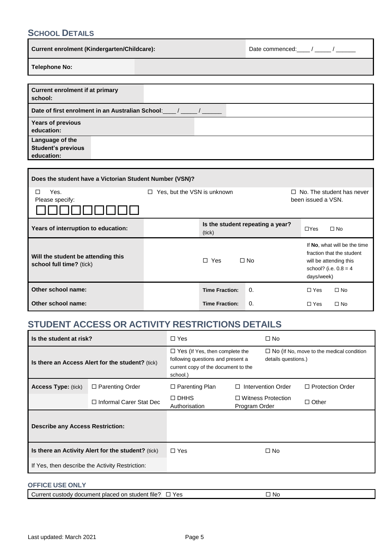## **SCHOOL DETAILS**

| <b>Current enrolment (Kindergarten/Childcare):</b>         | Date commenced: // |
|------------------------------------------------------------|--------------------|
| <b>Telephone No:</b>                                       |                    |
|                                                            |                    |
| <b>Current enrolment if at primary</b><br>school:          |                    |
| Date of first enrolment in an Australian School:           |                    |
| <b>Years of previous</b><br>education:                     |                    |
| Language of the<br><b>Student's previous</b><br>education: |                    |

| Does the student have a Victorian Student Number (VSN)?        |                                             |                            |            |                                                                                                                              |                                                 |  |  |
|----------------------------------------------------------------|---------------------------------------------|----------------------------|------------|------------------------------------------------------------------------------------------------------------------------------|-------------------------------------------------|--|--|
| Yes.<br>П<br>Please specify:                                   | Yes, but the VSN is unknown<br>$\Box$<br>П. |                            |            |                                                                                                                              | No. The student has never<br>been issued a VSN. |  |  |
| Years of interruption to education:                            | Is the student repeating a year?<br>(tick)  |                            |            |                                                                                                                              | $\Box$ No                                       |  |  |
| Will the student be attending this<br>school full time? (tick) |                                             | $\Box$<br>Yes<br>$\Box$ No |            | If No, what will be the time<br>fraction that the student<br>will be attending this<br>school? (i.e. $0.8 = 4$<br>days/week) |                                                 |  |  |
| Other school name:                                             |                                             | <b>Time Fraction:</b>      | $\Omega$ . | $\Box$ Yes                                                                                                                   | $\Box$ No                                       |  |  |
| Other school name:                                             |                                             | <b>Time Fraction:</b>      | 0.         | $\Box$ Yes                                                                                                                   | $\Box$ No                                       |  |  |

## **STUDENT ACCESS OR ACTIVITY RESTRICTIONS DETAILS**

| Is the student at risk?                          |                                                    | $\Box$ Yes                                                                                                                    |                              | $\Box$ No                                                              |                         |
|--------------------------------------------------|----------------------------------------------------|-------------------------------------------------------------------------------------------------------------------------------|------------------------------|------------------------------------------------------------------------|-------------------------|
| Is there an Access Alert for the student? (tick) |                                                    | $\Box$ Yes (If Yes, then complete the<br>following questions and present a<br>current copy of the document to the<br>school.) |                              | $\Box$ No (If No, move to the medical condition<br>details questions.) |                         |
| <b>Access Type: (tick)</b>                       | $\Box$ Parenting Order                             | $\Box$ Parenting Plan                                                                                                         | Intervention Order<br>$\Box$ |                                                                        | $\Box$ Protection Order |
|                                                  | $\Box$ Informal Carer Stat Dec                     | $\Box$ DHHS<br>Authorisation                                                                                                  | Program Order                | $\Box$ Witness Protection                                              | $\Box$ Other            |
| <b>Describe any Access Restriction:</b>          |                                                    |                                                                                                                               |                              |                                                                        |                         |
|                                                  | Is there an Activity Alert for the student? (tick) | $\Box$ Yes                                                                                                                    |                              | $\Box$ No                                                              |                         |
|                                                  | If Yes, then describe the Activity Restriction:    |                                                                                                                               |                              |                                                                        |                         |

#### **OFFICE USE ONLY**

| document placed on student file?<br>Current custod∨ ≦ | $V$ $\alpha$ c<br>ರಾ | . No |
|-------------------------------------------------------|----------------------|------|
|                                                       |                      |      |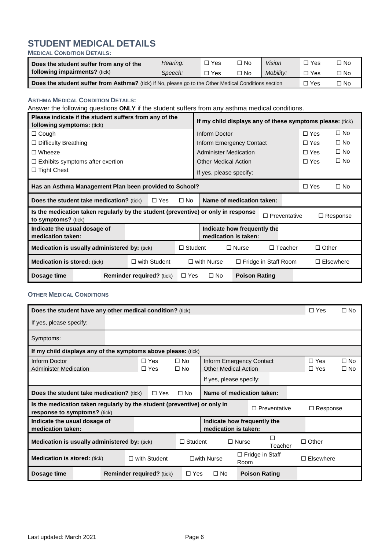#### **STUDENT MEDICAL DETAILS MEDICAL CONDITION DETAILS:**

| Does the student suffer from any of the                                                              | Hearing: | ⊓ Yes | $\Box$ No    | <b>Vision</b> | `Yes       | oИ ⊏  |
|------------------------------------------------------------------------------------------------------|----------|-------|--------------|---------------|------------|-------|
| following impairments? (tick)                                                                        | Speech:  | ∃ Yes | $\square$ No | Mobility:     | $\Box$ Yes | OM ר־ |
| Does the student suffer from Asthma? (tick) If No, please go to the Other Medical Conditions section |          |       |              |               |            | コ No  |

#### **ASTHMA MEDICAL CONDITION DETAILS:**

Answer the following questions **ONLY** if the student suffers from any asthma medical conditions.

| Please indicate if the student suffers from any of the<br>following symptoms: (tick)                     |  |  |            | If my child displays any of these symptoms please: (tick) |                      |                             |                 |              |                  |
|----------------------------------------------------------------------------------------------------------|--|--|------------|-----------------------------------------------------------|----------------------|-----------------------------|-----------------|--------------|------------------|
| $\Box$ Cough                                                                                             |  |  |            | Inform Doctor                                             |                      |                             | $\Box$ Yes      |              | $\square$ No     |
| $\Box$ Difficulty Breathing                                                                              |  |  |            | Inform Emergency Contact                                  |                      |                             | $\Box$ Yes      |              | $\square$ No     |
| $\Box$ Wheeze                                                                                            |  |  |            | <b>Administer Medication</b>                              |                      |                             | $\Box$ Yes      |              | $\square$ No     |
| $\Box$ Exhibits symptoms after exertion                                                                  |  |  |            | <b>Other Medical Action</b>                               |                      |                             | $\Box$ Yes      |              | $\square$ No     |
| $\Box$ Tight Chest                                                                                       |  |  |            | If yes, please specify:                                   |                      |                             |                 |              |                  |
| Has an Asthma Management Plan been provided to School?<br>$\Box$ Yes                                     |  |  |            |                                                           |                      | $\square$ No                |                 |              |                  |
| <b>Does the student take medication?</b> (tick)<br>$\Box$ Yes<br>$\square$ No                            |  |  |            | Name of medication taken:                                 |                      |                             |                 |              |                  |
| Is the medication taken regularly by the student (preventive) or only in response<br>to symptoms? (tick) |  |  |            | $\Box$ Preventative                                       |                      |                             | $\Box$ Response |              |                  |
| Indicate how frequently the<br>Indicate the usual dosage of<br>medication is taken:<br>medication taken: |  |  |            |                                                           |                      |                             |                 |              |                  |
| <b>Medication is usually administered by: (tick)</b><br>$\Box$ Student                                   |  |  |            | $\Box$ Nurse<br>$\Box$ Teacher                            |                      |                             |                 | $\Box$ Other |                  |
| <b>Medication is stored:</b> (tick)<br>$\Box$ with Student                                               |  |  |            | $\square$ with Nurse                                      |                      | $\Box$ Fridge in Staff Room |                 |              | $\Box$ Elsewhere |
| Dosage time<br><b>Reminder required?</b> (tick)                                                          |  |  | $\Box$ Yes | $\square$ No                                              | <b>Poison Rating</b> |                             |                 |              |                  |

#### **OTHER MEDICAL CONDITIONS**

| Does the student have any other medical condition? (tick)                                                       |                                  |                          |                                                        |                                                         |                                                     | $\Box$ Yes     | $\square$ No             |                              |
|-----------------------------------------------------------------------------------------------------------------|----------------------------------|--------------------------|--------------------------------------------------------|---------------------------------------------------------|-----------------------------------------------------|----------------|--------------------------|------------------------------|
| If yes, please specify:                                                                                         |                                  |                          |                                                        |                                                         |                                                     |                |                          |                              |
| Symptoms:                                                                                                       |                                  |                          |                                                        |                                                         |                                                     |                |                          |                              |
| If my child displays any of the symptoms above please: (tick)                                                   |                                  |                          |                                                        |                                                         |                                                     |                |                          |                              |
| Inform Doctor<br><b>Administer Medication</b>                                                                   |                                  | $\Box$ Yes<br>$\Box$ Yes | $\square$ No<br>$\square$ No                           | Inform Emergency Contact<br><b>Other Medical Action</b> |                                                     |                | $\Box$ Yes<br>$\Box$ Yes | $\square$ No<br>$\square$ No |
|                                                                                                                 |                                  |                          |                                                        |                                                         | If yes, please specify:                             |                |                          |                              |
| Name of medication taken:<br><b>Does the student take medication?</b> (tick)<br>$\Box$ Yes<br>$\Box$ No         |                                  |                          |                                                        |                                                         |                                                     |                |                          |                              |
| Is the medication taken regularly by the student (preventive) or only in<br><b>response to symptoms?</b> (tick) |                                  |                          |                                                        |                                                         |                                                     | □ Preventative | $\Box$ Response          |                              |
| Indicate the usual dosage of<br>medication taken:                                                               |                                  |                          |                                                        |                                                         | Indicate how frequently the<br>medication is taken: |                |                          |                              |
| <b>Medication is usually administered by: (tick)</b>                                                            |                                  |                          |                                                        | $\Box$ Student                                          | $\Box$ Nurse                                        | П<br>Teacher   | $\Box$ Other             |                              |
| <b>Medication is stored: (tick)</b><br>$\Box$ with Student                                                      |                                  |                          | $\Box$ Fridge in Staff<br>$\square$ with Nurse<br>Room |                                                         | Elsewhere                                           |                |                          |                              |
| Dosage time                                                                                                     | <b>Reminder required?</b> (tick) |                          | $\Box$ Yes                                             | $\Box$ No                                               | <b>Poison Rating</b>                                |                |                          |                              |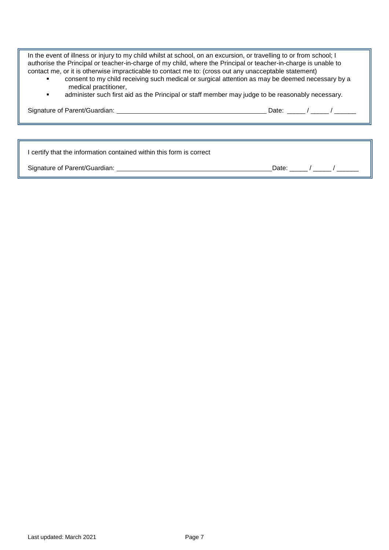In the event of illness or injury to my child whilst at school, on an excursion, or travelling to or from school; I authorise the Principal or teacher-in-charge of my child, where the Principal or teacher-in-charge is unable to contact me, or it is otherwise impracticable to contact me to: (cross out any unacceptable statement)

- consent to my child receiving such medical or surgical attention as may be deemed necessary by a medical practitioner,
- **Example 3** administer such first aid as the Principal or staff member may judge to be reasonably necessary.

Signature of Parent/Guardian: Date: \_\_\_\_\_ / \_\_\_\_\_ / \_\_\_\_\_\_

I certify that the information contained within this form is correct

Signature of Parent/Guardian: Date: \_\_\_\_\_ / \_\_\_\_\_ / \_\_\_\_\_\_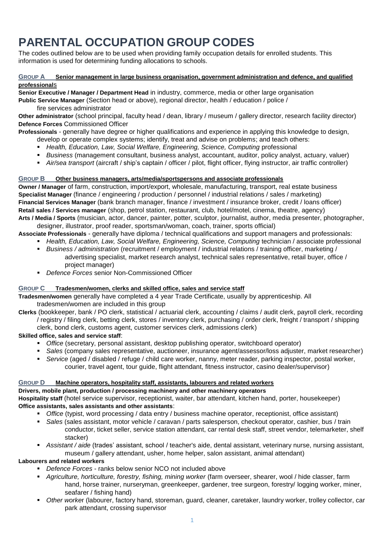## **PARENTAL OCCUPATION GROUP CODES**

The codes outlined below are to be used when providing family occupation details for enrolled students. This information is used for determining funding allocations to schools.

#### **GROUP A Senior management in large business organisation, government administration and defence, and qualified professional**s

**Senior Executive / Manager / Department Head** in industry, commerce, media or other large organisation

**Public Service Manager** (Section head or above), regional director, health / education / police / fire services administrator

**Other administrator** (school principal, faculty head / dean, library / museum / gallery director, research facility director) **Defence Forces** Commissioned Officer

**Professionals** - generally have degree or higher qualifications and experience in applying this knowledge to design,

- develop or operate complex systems; identify, treat and advise on problems; and teach others:
- *Health, Education, Law, Social Welfare, Engineering, Science, Computing* professional
- *Business* (management consultant, business analyst, accountant, auditor, policy analyst, actuary, valuer)
- *Air/sea transport* (aircraft / ship's captain / officer / pilot, flight officer, flying instructor, air traffic controller)

#### **GROUP B Other business managers, arts/media/sportspersons and associate professionals**

**Owner / Manager** of farm, construction, import/export, wholesale, manufacturing, transport, real estate business **Specialist Manager** (finance / engineering / production / personnel / industrial relations / sales / marketing) **Financial Services Manager** (bank branch manager, finance / investment / insurance broker, credit / loans officer) **Retail sales / Services manager** (shop, petrol station, restaurant, club, hotel/motel, cinema, theatre, agency) **Arts / Media / Sports** (musician, actor, dancer, painter, potter, sculptor, journalist, author, media presenter, photographer,

designer, illustrator, proof reader, sportsman/woman, coach, trainer, sports official) **Associate Professionals** - generally have diploma / technical qualifications and support managers and professionals:

- **Health, Education, Law, Social Welfare, Engineering, Science, Computing technician / associate professional**
- *Business / administration* (recruitment / employment / industrial relations / training officer, marketing /
	- advertising specialist, market research analyst, technical sales representative, retail buyer, office / project manager)
- *Defence Forces* senior Non-Commissioned Officer

#### **GROUP C Tradesmen/women, clerks and skilled office, sales and service staff**

**Tradesmen/women** generally have completed a 4 year Trade Certificate, usually by apprenticeship. All tradesmen/women are included in this group

**Clerks** (bookkeeper, bank / PO clerk, statistical / actuarial clerk, accounting / claims / audit clerk, payroll clerk, recording / registry / filing clerk, betting clerk, stores / inventory clerk, purchasing / order clerk, freight / transport / shipping clerk, bond clerk, customs agent, customer services clerk, admissions clerk)

#### **Skilled office, sales and service staff**:

- **•** Office (secretary, personal assistant, desktop publishing operator, switchboard operator)
- *Sales* (company sales representative, auctioneer, insurance agent/assessor/loss adjuster, market researcher) *Service* (aged / disabled / refuge / child care worker, nanny, meter reader, parking inspector, postal worker,
	- courier, travel agent, tour guide, flight attendant, fitness instructor, casino dealer/supervisor)

#### **GROUP D Machine operators, hospitality staff, assistants, labourers and related workers**

#### **Drivers, mobile plant, production / processing machinery and other machinery operators**

**Hospitality staff** (hotel service supervisor, receptionist, waiter, bar attendant, kitchen hand, porter, housekeeper) **Office assistants, sales assistants and other assistants**:

- *Office* (typist, word processing / data entry / business machine operator, receptionist, office assistant)
- *Sales* (sales assistant, motor vehicle / caravan / parts salesperson, checkout operator, cashier, bus / train conductor, ticket seller, service station attendant, car rental desk staff, street vendor, telemarketer, shelf stacker)
- *Assistant / aide* (trades' assistant, school / teacher's aide, dental assistant, veterinary nurse, nursing assistant, museum / gallery attendant, usher, home helper, salon assistant, animal attendant)

#### **Labourers and related workers**

- *Defence Forces* ranks below senior NCO not included above
- *Agriculture, horticulture, forestry, fishing, mining worker* (farm overseer, shearer, wool / hide classer, farm hand, horse trainer, nurseryman, greenkeeper, gardener, tree surgeon, forestry/ logging worker, miner, seafarer / fishing hand)
- *Other worke*r (labourer, factory hand, storeman, guard, cleaner, caretaker, laundry worker, trolley collector, car park attendant, crossing supervisor